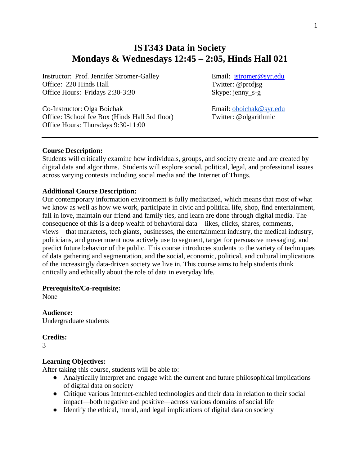# **IST343 Data in Society Mondays & Wednesdays 12:45 – 2:05, Hinds Hall 021**

Instructor: Prof. Jennifer Stromer-Galley Email: [jstromer@syr.edu](file://///hd.ad.syr.edu/01/ac36be/Documents/Teaching/Fall%2018/jstromer@syr.edu) Office: 220 Hinds Hall Twitter: @profisg Office Hours: Fridays 2:30-3:30 Skype: jenny\_s-g

Co-Instructor: Olga Boichak<br>
Office: ISchool Ice Box (Hinds Hall 3rd floor) Twitter: @olgarithmic Office: ISchool Ice Box (Hinds Hall 3rd floor) Office Hours: Thursdays 9:30-11:00

# **Course Description:**

Students will critically examine how individuals, groups, and society create and are created by digital data and algorithms. Students will explore social, political, legal, and professional issues across varying contexts including social media and the Internet of Things.

#### **Additional Course Description:**

Our contemporary information environment is fully mediatized, which means that most of what we know as well as how we work, participate in civic and political life, shop, find entertainment, fall in love, maintain our friend and family ties, and learn are done through digital media. The consequence of this is a deep wealth of behavioral data—likes, clicks, shares, comments, views—that marketers, tech giants, businesses, the entertainment industry, the medical industry, politicians, and government now actively use to segment, target for persuasive messaging, and predict future behavior of the public. This course introduces students to the variety of techniques of data gathering and segmentation, and the social, economic, political, and cultural implications of the increasingly data-driven society we live in. This course aims to help students think critically and ethically about the role of data in everyday life.

#### **Prerequisite/Co-requisite:**

None

**Audience:** Undergraduate students

**Credits:**

3

#### **Learning Objectives:**

After taking this course, students will be able to:

- Analytically interpret and engage with the current and future philosophical implications of digital data on society
- Critique various Internet-enabled technologies and their data in relation to their social impact—both negative and positive—across various domains of social life
- Identify the ethical, moral, and legal implications of digital data on society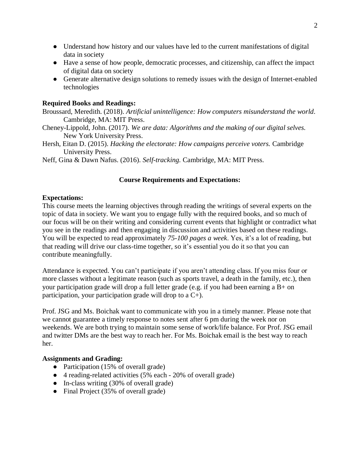- Understand how history and our values have led to the current manifestations of digital data in society
- Have a sense of how people, democratic processes, and citizenship, can affect the impact of digital data on society
- Generate alternative design solutions to remedy issues with the design of Internet-enabled technologies

# **Required Books and Readings:**

Broussard, Meredith. (2018). *Artificial unintelligence: How computers misunderstand the world*. Cambridge, MA: MIT Press.

- Cheney-Lippold, John. (2017). *We are data: Algorithms and the making of our digital selves.* New York University Press.
- Hersh, Eitan D. (2015). *Hacking the electorate: How campaigns perceive voters.* Cambridge University Press.
- Neff, Gina & Dawn Nafus. (2016). *Self-tracking.* Cambridge, MA: MIT Press.

# **Course Requirements and Expectations:**

# **Expectations:**

This course meets the learning objectives through reading the writings of several experts on the topic of data in society. We want you to engage fully with the required books, and so much of our focus will be on their writing and considering current events that highlight or contradict what you see in the readings and then engaging in discussion and activities based on these readings. You will be expected to read approximately *75-100 pages a week*. Yes, it's a lot of reading, but that reading will drive our class-time together, so it's essential you do it so that you can contribute meaningfully.

Attendance is expected. You can't participate if you aren't attending class. If you miss four or more classes without a legitimate reason (such as sports travel, a death in the family, etc.), then your participation grade will drop a full letter grade (e.g. if you had been earning a B+ on participation, your participation grade will drop to a C+).

Prof. JSG and Ms. Boichak want to communicate with you in a timely manner. Please note that we cannot guarantee a timely response to notes sent after 6 pm during the week nor on weekends. We are both trying to maintain some sense of work/life balance. For Prof. JSG email and twitter DMs are the best way to reach her. For Ms. Boichak email is the best way to reach her.

# **Assignments and Grading:**

- Participation (15% of overall grade)
- 4 reading-related activities (5% each 20% of overall grade)
- In-class writing (30% of overall grade)
- Final Project (35% of overall grade)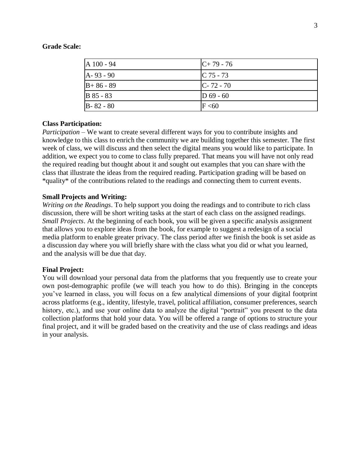#### **Grade Scale:**

| A 100 - 94    | $C+79-76$     |
|---------------|---------------|
| A-93 - 90     | $C$ 75 - 73   |
| $B+86-89$     | $C - 72 - 70$ |
| B 85 - 83     | $D$ 69 - 60   |
| $B - 82 - 80$ | F < 60        |

#### **Class Participation:**

*Participation* – We want to create several different ways for you to contribute insights and knowledge to this class to enrich the community we are building together this semester. The first week of class, we will discuss and then select the digital means you would like to participate. In addition, we expect you to come to class fully prepared. That means you will have not only read the required reading but thought about it and sought out examples that you can share with the class that illustrate the ideas from the required reading. Participation grading will be based on \*quality\* of the contributions related to the readings and connecting them to current events.

# **Small Projects and Writing:**

*Writing on the Readings*. To help support you doing the readings and to contribute to rich class discussion, there will be short writing tasks at the start of each class on the assigned readings. *Small Projects*. At the beginning of each book, you will be given a specific analysis assignment that allows you to explore ideas from the book, for example to suggest a redesign of a social media platform to enable greater privacy. The class period after we finish the book is set aside as a discussion day where you will briefly share with the class what you did or what you learned, and the analysis will be due that day.

# **Final Project:**

You will download your personal data from the platforms that you frequently use to create your own post-demographic profile (we will teach you how to do this). Bringing in the concepts you've learned in class, you will focus on a few analytical dimensions of your digital footprint across platforms (e.g., identity, lifestyle, travel, political affiliation, consumer preferences, search history, etc.), and use your online data to analyze the digital "portrait" you present to the data collection platforms that hold your data. You will be offered a range of options to structure your final project, and it will be graded based on the creativity and the use of class readings and ideas in your analysis.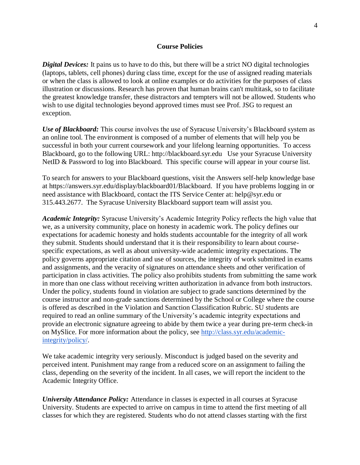#### **Course Policies**

*Digital Devices:* It pains us to have to do this, but there will be a strict NO digital technologies (laptops, tablets, cell phones) during class time, except for the use of assigned reading materials or when the class is allowed to look at online examples or do activities for the purposes of class illustration or discussions. Research has proven that human brains can't multitask, so to facilitate the greatest knowledge transfer, these distractors and tempters will not be allowed. Students who wish to use digital technologies beyond approved times must see Prof. JSG to request an exception.

*Use of Blackboard:* This course involves the use of Syracuse University's Blackboard system as an online tool. The environment is composed of a number of elements that will help you be successful in both your current coursework and your lifelong learning opportunities. To access Blackboard, go to the following URL: http://blackboard.syr.edu Use your Syracuse University NetID & Password to log into Blackboard. This specific course will appear in your course list.

To search for answers to your Blackboard questions, visit the Answers self-help knowledge base at https://answers.syr.edu/display/blackboard01/Blackboard. If you have problems logging in or need assistance with Blackboard, contact the ITS Service Center at: help@syr.edu or 315.443.2677. The Syracuse University Blackboard support team will assist you.

*Academic Integrity:* Syracuse University's Academic Integrity Policy reflects the high value that we, as a university community, place on honesty in academic work. The policy defines our expectations for academic honesty and holds students accountable for the integrity of all work they submit. Students should understand that it is their responsibility to learn about coursespecific expectations, as well as about university-wide academic integrity expectations. The policy governs appropriate citation and use of sources, the integrity of work submitted in exams and assignments, and the veracity of signatures on attendance sheets and other verification of participation in class activities. The policy also prohibits students from submitting the same work in more than one class without receiving written authorization in advance from both instructors. Under the policy, students found in violation are subject to grade sanctions determined by the course instructor and non-grade sanctions determined by the School or College where the course is offered as described in the Violation and Sanction Classification Rubric. SU students are required to read an online summary of the University's academic integrity expectations and provide an electronic signature agreeing to abide by them twice a year during pre-term check-in on MySlice. For more information about the policy, see [http://class.syr.edu/academic](http://class.syr.edu/academic-integrity/policy/)[integrity/policy/.](http://class.syr.edu/academic-integrity/policy/)

We take academic integrity very seriously. Misconduct is judged based on the severity and perceived intent. Punishment may range from a reduced score on an assignment to failing the class, depending on the severity of the incident. In all cases, we will report the incident to the Academic Integrity Office.

*University Attendance Policy:* Attendance in classes is expected in all courses at Syracuse University. Students are expected to arrive on campus in time to attend the first meeting of all classes for which they are registered. Students who do not attend classes starting with the first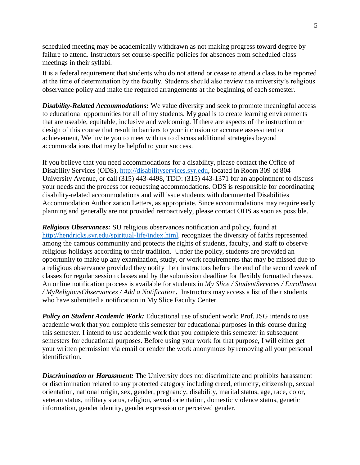scheduled meeting may be academically withdrawn as not making progress toward degree by failure to attend. Instructors set course-specific policies for absences from scheduled class meetings in their syllabi.

It is a federal requirement that students who do not attend or cease to attend a class to be reported at the time of determination by the faculty. Students should also review the university's religious observance policy and make the required arrangements at the beginning of each semester.

*Disability-Related Accommodations:* We value diversity and seek to promote meaningful access to educational opportunities for all of my students. My goal is to create learning environments that are useable, equitable, inclusive and welcoming. If there are aspects of the instruction or design of this course that result in barriers to your inclusion or accurate assessment or achievement, We invite you to meet with us to discuss additional strategies beyond accommodations that may be helpful to your success.

If you believe that you need accommodations for a disability, please contact the Office of Disability Services (ODS), [http://disabilityservices.syr.edu,](http://disabilityservices.syr.edu/) located in Room 309 of 804 University Avenue, or call (315) 443-4498, TDD: (315) 443-1371 for an appointment to discuss your needs and the process for requesting accommodations. ODS is responsible for coordinating disability-related accommodations and will issue students with documented Disabilities Accommodation Authorization Letters, as appropriate. Since accommodations may require early planning and generally are not provided retroactively, please contact ODS as soon as possible.

*Religious Observances:* SU religious observances notification and policy, found at [http://hendricks.syr.edu/spiritual-life/index.html,](http://hendricks.syr.edu/spiritual-life/index.html) recognizes the diversity of faiths represented among the campus community and protects the rights of students, faculty, and staff to observe religious holidays according to their tradition. Under the policy, students are provided an opportunity to make up any examination, study, or work requirements that may be missed due to a religious observance provided they notify their instructors before the end of the second week of classes for regular session classes and by the submission deadline for flexibly formatted classes. An online notification process is available for students in *My Slice / StudentServices / Enrollment / MyReligiousObservances / Add a Notificatio*n**.** Instructors may access a list of their students who have submitted a notification in My Slice Faculty Center.

**Policy on Student Academic Work:** Educational use of student work: Prof. JSG intends to use academic work that you complete this semester for educational purposes in this course during this semester. I intend to use academic work that you complete this semester in subsequent semesters for educational purposes. Before using your work for that purpose, I will either get your written permission via email or render the work anonymous by removing all your personal identification.

*Discrimination or Harassment:* The University does not discriminate and prohibits harassment or discrimination related to any protected category including creed, ethnicity, citizenship, sexual orientation, national origin, sex, gender, pregnancy, disability, marital status, age, race, color, veteran status, military status, religion, sexual orientation, domestic violence status, genetic information, gender identity, gender expression or perceived gender.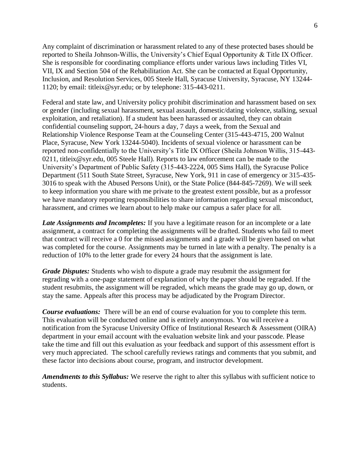Any complaint of discrimination or harassment related to any of these protected bases should be reported to Sheila Johnson-Willis, the University's Chief Equal Opportunity & Title IX Officer. She is responsible for coordinating compliance efforts under various laws including Titles VI, VII, IX and Section 504 of the Rehabilitation Act. She can be contacted at Equal Opportunity, Inclusion, and Resolution Services, 005 Steele Hall, Syracuse University, Syracuse, NY 13244- 1120; by email: titleix@syr.edu; or by telephone: 315-443-0211.

Federal and state law, and University policy prohibit discrimination and harassment based on sex or gender (including sexual harassment, sexual assault, domestic/dating violence, stalking, sexual exploitation, and retaliation). If a student has been harassed or assaulted, they can obtain confidential counseling support, 24-hours a day, 7 days a week, from the Sexual and Relationship Violence Response Team at the Counseling Center (315-443-4715, 200 Walnut Place, Syracuse, New York 13244-5040). Incidents of sexual violence or harassment can be reported non-confidentially to the University's Title IX Officer (Sheila Johnson Willis, 315-443- 0211, titleix@syr.edu, 005 Steele Hall). Reports to law enforcement can be made to the University's Department of Public Safety (315-443-2224, 005 Sims Hall), the Syracuse Police Department (511 South State Street, Syracuse, New York, 911 in case of emergency or 315-435- 3016 to speak with the Abused Persons Unit), or the State Police (844-845-7269). We will seek to keep information you share with me private to the greatest extent possible, but as a professor we have mandatory reporting responsibilities to share information regarding sexual misconduct, harassment, and crimes we learn about to help make our campus a safer place for all.

*Late Assignments and Incompletes:* If you have a legitimate reason for an incomplete or a late assignment, a contract for completing the assignments will be drafted. Students who fail to meet that contract will receive a 0 for the missed assignments and a grade will be given based on what was completed for the course. Assignments may be turned in late with a penalty. The penalty is a reduction of 10% to the letter grade for every 24 hours that the assignment is late.

*Grade Disputes:* Students who wish to dispute a grade may resubmit the assignment for regrading with a one-page statement of explanation of why the paper should be regraded. If the student resubmits, the assignment will be regraded, which means the grade may go up, down, or stay the same. Appeals after this process may be adjudicated by the Program Director.

*Course evaluations:* There will be an end of course evaluation for you to complete this term. This evaluation will be conducted online and is entirely anonymous. You will receive a notification from the Syracuse University Office of Institutional Research & Assessment (OIRA) department in your email account with the evaluation website link and your passcode. Please take the time and fill out this evaluation as your feedback and support of this assessment effort is very much appreciated. The school carefully reviews ratings and comments that you submit, and these factor into decisions about course, program, and instructor development.

*Amendments to this Syllabus:* We reserve the right to alter this syllabus with sufficient notice to students.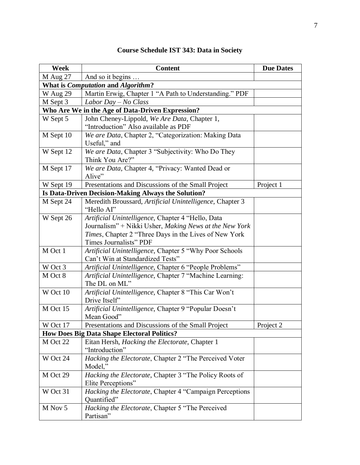| Week                                               | <b>Content</b>                                                                             | <b>Due Dates</b> |  |
|----------------------------------------------------|--------------------------------------------------------------------------------------------|------------------|--|
| M Aug 27                                           | And so it begins                                                                           |                  |  |
| What is <i>Computation</i> and <i>Algorithm?</i>   |                                                                                            |                  |  |
| W Aug 29                                           | Martin Erwig, Chapter 1 "A Path to Understanding." PDF                                     |                  |  |
| M Sept 3                                           | Labor Day $-$ No Class                                                                     |                  |  |
| Who Are We in the Age of Data-Driven Expression?   |                                                                                            |                  |  |
| W Sept 5                                           | John Cheney-Lippold, We Are Data, Chapter 1,                                               |                  |  |
|                                                    | "Introduction" Also available as PDF                                                       |                  |  |
| M Sept 10                                          | We are Data, Chapter 2, "Categorization: Making Data                                       |                  |  |
|                                                    | Useful," and                                                                               |                  |  |
| W Sept 12                                          | We are Data, Chapter 3 "Subjectivity: Who Do They                                          |                  |  |
|                                                    | Think You Are?"                                                                            |                  |  |
| M Sept 17                                          | We are Data, Chapter 4, "Privacy: Wanted Dead or                                           |                  |  |
|                                                    | Alive"                                                                                     |                  |  |
| W Sept 19                                          | Presentations and Discussions of the Small Project                                         | Project 1        |  |
|                                                    | Is Data-Driven Decision-Making Always the Solution?                                        |                  |  |
| M Sept 24                                          | Meredith Broussard, Artificial Unintelligence, Chapter 3                                   |                  |  |
|                                                    | "Hello AI"                                                                                 |                  |  |
| W Sept 26                                          | Artificial Unintelligence, Chapter 4 "Hello, Data                                          |                  |  |
|                                                    | Journalism" + Nikki Usher, Making News at the New York                                     |                  |  |
|                                                    | Times, Chapter 2 "Three Days in the Lives of New York                                      |                  |  |
|                                                    | Times Journalists" PDF                                                                     |                  |  |
| M Oct 1                                            | Artificial Unintelligence, Chapter 5 "Why Poor Schools<br>Can't Win at Standardized Tests" |                  |  |
| W Oct 3                                            | Artificial Unintelligence, Chapter 6 "People Problems"                                     |                  |  |
| M Oct 8                                            | Artificial Unintelligence, Chapter 7 "Machine Learning:                                    |                  |  |
|                                                    | The DL on ML"                                                                              |                  |  |
| W Oct 10                                           | Artificial Unintelligence, Chapter 8 "This Car Won't                                       |                  |  |
|                                                    | Drive Itself"                                                                              |                  |  |
| M Oct 15                                           | Artificial Unintelligence, Chapter 9 "Popular Doesn't                                      |                  |  |
|                                                    | Mean Good"                                                                                 |                  |  |
| W Oct 17                                           | Presentations and Discussions of the Small Project                                         | Project 2        |  |
| <b>How Does Big Data Shape Electoral Politics?</b> |                                                                                            |                  |  |
| M Oct 22                                           | Eitan Hersh, <i>Hacking the Electorate</i> , Chapter 1                                     |                  |  |
|                                                    | "Introduction"                                                                             |                  |  |
| W Oct 24                                           | Hacking the Electorate, Chapter 2 "The Perceived Voter                                     |                  |  |
|                                                    | Model,"                                                                                    |                  |  |
| M Oct 29                                           | Hacking the Electorate, Chapter 3 "The Policy Roots of                                     |                  |  |
|                                                    | Elite Perceptions"                                                                         |                  |  |
| W Oct 31                                           | Hacking the Electorate, Chapter 4 "Campaign Perceptions                                    |                  |  |
|                                                    | Quantified"                                                                                |                  |  |
| M Nov 5                                            | Hacking the Electorate, Chapter 5 "The Perceived                                           |                  |  |
|                                                    | Partisan"                                                                                  |                  |  |

# **Course Schedule IST 343: Data in Society**